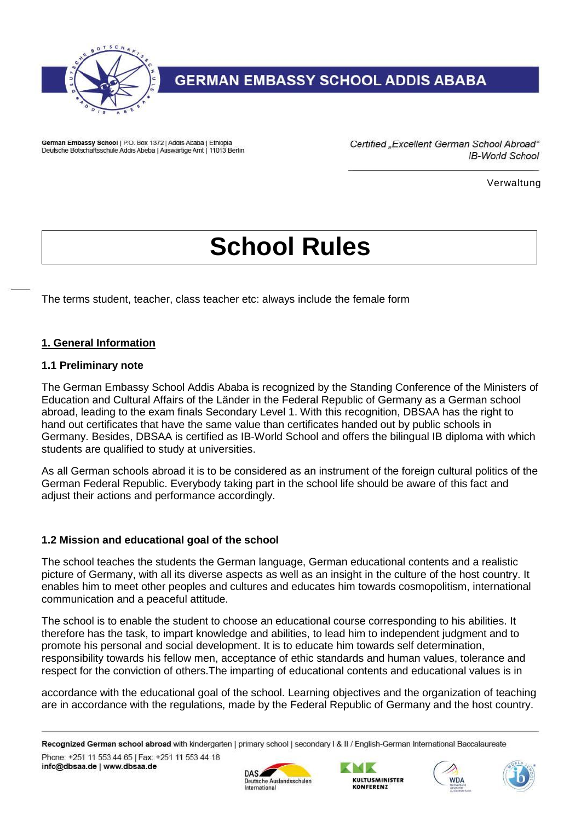

German Embassy School | P.O. Box 1372 | Addis Ababa | Ethiopia Deutsche Botschaftsschule Addis Abeba | Auswärtige Amt | 11013 Berlin Certified "Excellent German School Abroad" **IB-World School** 

Verwaltung

# **School Rules**

The terms student, teacher, class teacher etc: always include the female form

#### **1. General Information**

#### **1.1 Preliminary note**

The German Embassy School Addis Ababa is recognized by the Standing Conference of the Ministers of Education and Cultural Affairs of the Länder in the Federal Republic of Germany as a German school abroad, leading to the exam finals Secondary Level 1. With this recognition, DBSAA has the right to hand out certificates that have the same value than certificates handed out by public schools in Germany. Besides, DBSAA is certified as IB-World School and offers the bilingual IB diploma with which students are qualified to study at universities.

As all German schools abroad it is to be considered as an instrument of the foreign cultural politics of the German Federal Republic. Everybody taking part in the school life should be aware of this fact and adjust their actions and performance accordingly.

#### **1.2 Mission and educational goal of the school**

The school teaches the students the German language, German educational contents and a realistic picture of Germany, with all its diverse aspects as well as an insight in the culture of the host country. It enables him to meet other peoples and cultures and educates him towards cosmopolitism, international communication and a peaceful attitude.

The school is to enable the student to choose an educational course corresponding to his abilities. It therefore has the task, to impart knowledge and abilities, to lead him to independent judgment and to promote his personal and social development. It is to educate him towards self determination, responsibility towards his fellow men, acceptance of ethic standards and human values, tolerance and respect for the conviction of others.The imparting of educational contents and educational values is in

accordance with the educational goal of the school. Learning objectives and the organization of teaching are in accordance with the regulations, made by the Federal Republic of Germany and the host country.

Recognized German school abroad with kindergarten | primary school | secondary I & II / English-German International Baccalaureate Phone: +251 11 553 44 65 | Fax: +251 11 553 44 18 info@dbsaa.de | www.dbsaa.de

International







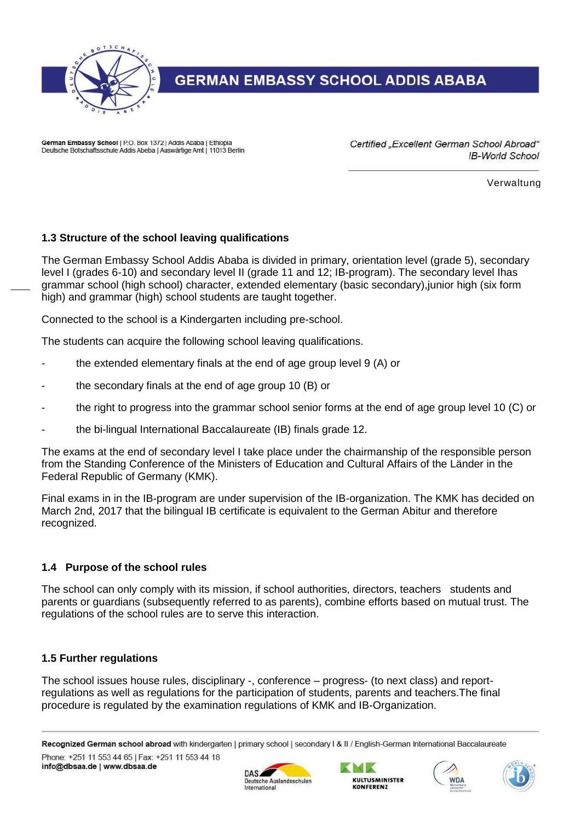

German Embassy School | P.O. Box 1372 | Addis Ababa | Ethiopia Deutsche Botschaftsschule Addis Abeba | Auswärtige Amt | 11013 Berlin Certified "Excellent German School Abroad" **IB-World School** 

Verwaltung

#### **1.3 Structure of the school leaving qualifications**

The German Embassy School Addis Ababa is divided in primary, orientation level (grade 5), secondary level I (grades 6-10) and secondary level II (grade 11 and 12; IB-program). The secondary level Ihas grammar school (high school) character, extended elementary (basic secondary),junior high (six form high) and grammar (high) school students are taught together.

Connected to the school is a Kindergarten including pre-school.

The students can acquire the following school leaving qualifications.

- the extended elementary finals at the end of age group level 9 (A) or
- the secondary finals at the end of age group 10 (B) or
- the right to progress into the grammar school senior forms at the end of age group level 10 (C) or
- the bi-lingual International Baccalaureate (IB) finals grade 12.

The exams at the end of secondary level I take place under the chairmanship of the responsible person from the Standing Conference of the Ministers of Education and Cultural Affairs of the Länder in the Federal Republic of Germany (KMK).

Final exams in in the IB-program are under supervision of the IB-organization. The KMK has decided on March 2nd, 2017 that the bilingual IB certificate is equivalent to the German Abitur and therefore recognized.

#### **1.4 Purpose of the school rules**

The school can only comply with its mission, if school authorities, directors, teachers students and parents or guardians (subsequently referred to as parents), combine efforts based on mutual trust. The regulations of the school rules are to serve this interaction.

#### **1.5 Further regulations**

The school issues house rules, disciplinary -, conference – progress- (to next class) and reportregulations as well as regulations for the participation of students, parents and teachers.The final procedure is regulated by the examination regulations of KMK and IB-Organization.









Recognized German school abroad with kindergarten | primary school | secondary I & II / English-German International Baccalaureate Phone: +251 11 553 44 65 | Fax: +251 11 553 44 18 info@dbsaa.de | www.dbsaa.de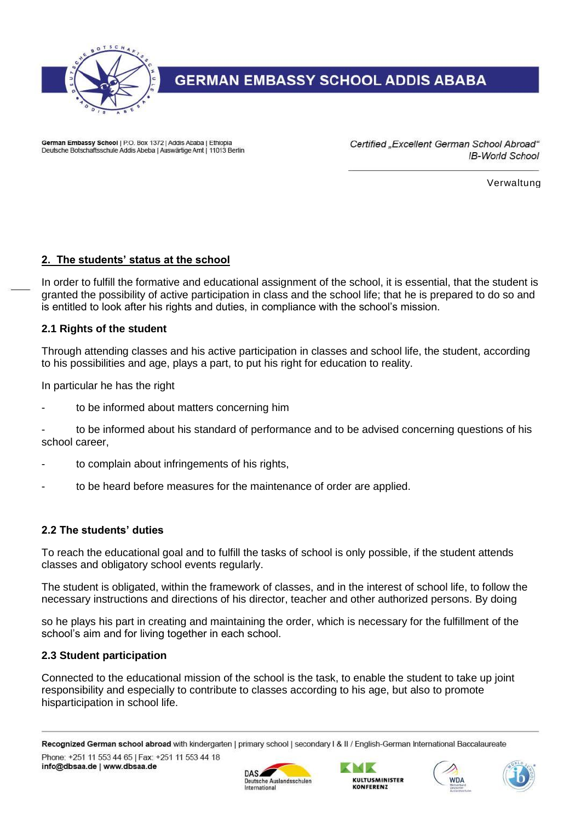

German Embassy School | P.O. Box 1372 | Addis Ababa | Ethiopia Deutsche Botschaftsschule Addis Abeba | Auswärtige Amt | 11013 Berlin Certified "Excellent German School Abroad" **IB-World School** 

Verwaltung

#### **2. The students' status at the school**

In order to fulfill the formative and educational assignment of the school, it is essential, that the student is granted the possibility of active participation in class and the school life; that he is prepared to do so and is entitled to look after his rights and duties, in compliance with the school's mission.

#### **2.1 Rights of the student**

Through attending classes and his active participation in classes and school life, the student, according to his possibilities and age, plays a part, to put his right for education to reality.

In particular he has the right

- to be informed about matters concerning him
- to be informed about his standard of performance and to be advised concerning questions of his school career,
- to complain about infringements of his rights,
- to be heard before measures for the maintenance of order are applied.

#### **2.2 The students' duties**

To reach the educational goal and to fulfill the tasks of school is only possible, if the student attends classes and obligatory school events regularly.

The student is obligated, within the framework of classes, and in the interest of school life, to follow the necessary instructions and directions of his director, teacher and other authorized persons. By doing

so he plays his part in creating and maintaining the order, which is necessary for the fulfillment of the school's aim and for living together in each school.

#### **2.3 Student participation**

Connected to the educational mission of the school is the task, to enable the student to take up joint responsibility and especially to contribute to classes according to his age, but also to promote hisparticipation in school life.





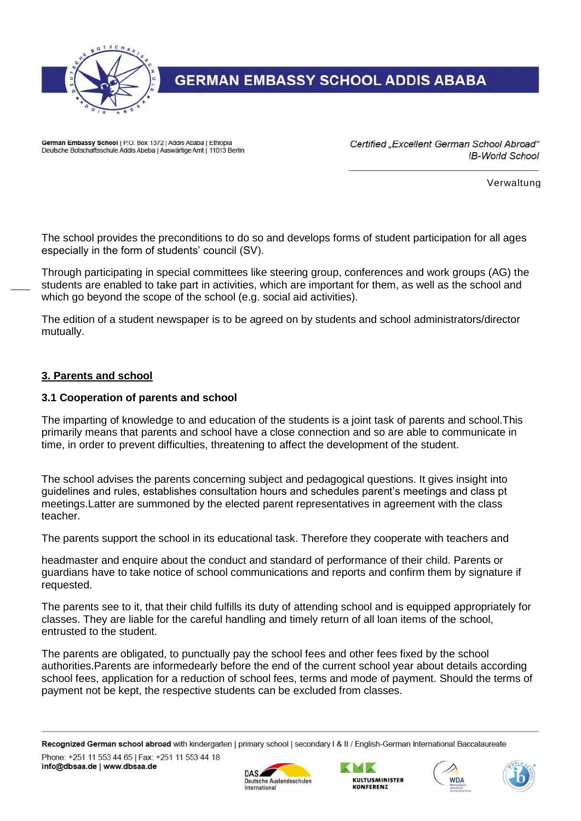

German Embassy School | P.O. Box 1372 | Addis Ababa | Ethiopia Deutsche Botschaftsschule Addis Abeba | Auswärtige Amt | 11013 Berlin Certified "Excellent German School Abroad" **IB-World School** 

Verwaltung

The school provides the preconditions to do so and develops forms of student participation for all ages especially in the form of students' council (SV).

Through participating in special committees like steering group, conferences and work groups (AG) the students are enabled to take part in activities, which are important for them, as well as the school and which go beyond the scope of the school (e.g. social aid activities).

The edition of a student newspaper is to be agreed on by students and school administrators/director mutually.

#### **3. Parents and school**

#### **3.1 Cooperation of parents and school**

The imparting of knowledge to and education of the students is a joint task of parents and school.This primarily means that parents and school have a close connection and so are able to communicate in time, in order to prevent difficulties, threatening to affect the development of the student.

The school advises the parents concerning subject and pedagogical questions. It gives insight into guidelines and rules, establishes consultation hours and schedules parent's meetings and class pt meetings.Latter are summoned by the elected parent representatives in agreement with the class teacher.

The parents support the school in its educational task. Therefore they cooperate with teachers and

headmaster and enquire about the conduct and standard of performance of their child. Parents or guardians have to take notice of school communications and reports and confirm them by signature if requested.

The parents see to it, that their child fulfills its duty of attending school and is equipped appropriately for classes. They are liable for the careful handling and timely return of all loan items of the school, entrusted to the student.

The parents are obligated, to punctually pay the school fees and other fees fixed by the school authorities.Parents are informedearly before the end of the current school year about details according school fees, application for a reduction of school fees, terms and mode of payment. Should the terms of payment not be kept, the respective students can be excluded from classes.







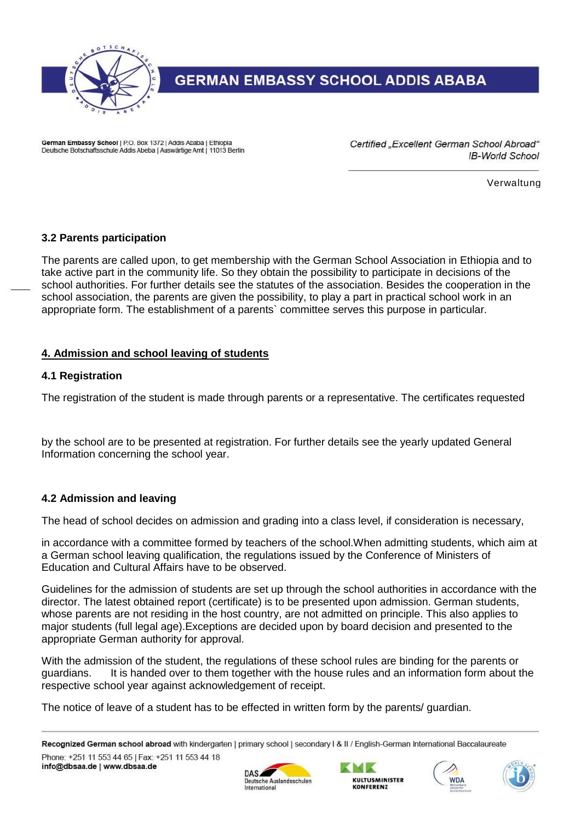

German Embassy School | P.O. Box 1372 | Addis Ababa | Ethiopia Deutsche Botschaftsschule Addis Abeba | Auswärtige Amt | 11013 Berlin Certified "Excellent German School Abroad" **IB-World School** 

Verwaltung

#### **3.2 Parents participation**

The parents are called upon, to get membership with the German School Association in Ethiopia and to take active part in the community life. So they obtain the possibility to participate in decisions of the school authorities. For further details see the statutes of the association. Besides the cooperation in the school association, the parents are given the possibility, to play a part in practical school work in an appropriate form. The establishment of a parents` committee serves this purpose in particular.

#### **4. Admission and school leaving of students**

#### **4.1 Registration**

The registration of the student is made through parents or a representative. The certificates requested

by the school are to be presented at registration. For further details see the yearly updated General Information concerning the school year.

#### **4.2 Admission and leaving**

The head of school decides on admission and grading into a class level, if consideration is necessary,

in accordance with a committee formed by teachers of the school.When admitting students, which aim at a German school leaving qualification, the regulations issued by the Conference of Ministers of Education and Cultural Affairs have to be observed.

Guidelines for the admission of students are set up through the school authorities in accordance with the director. The latest obtained report (certificate) is to be presented upon admission. German students, whose parents are not residing in the host country, are not admitted on principle. This also applies to major students (full legal age).Exceptions are decided upon by board decision and presented to the appropriate German authority for approval.

With the admission of the student, the regulations of these school rules are binding for the parents or guardians. It is handed over to them together with the house rules and an information form about the respective school year against acknowledgement of receipt.

The notice of leave of a student has to be effected in written form by the parents/ guardian.

Recognized German school abroad with kindergarten | primary school | secondary I & II / English-German International Baccalaureate Phone: +251 11 553 44 65 | Fax: +251 11 553 44 18 info@dbsaa.de | www.dbsaa.de







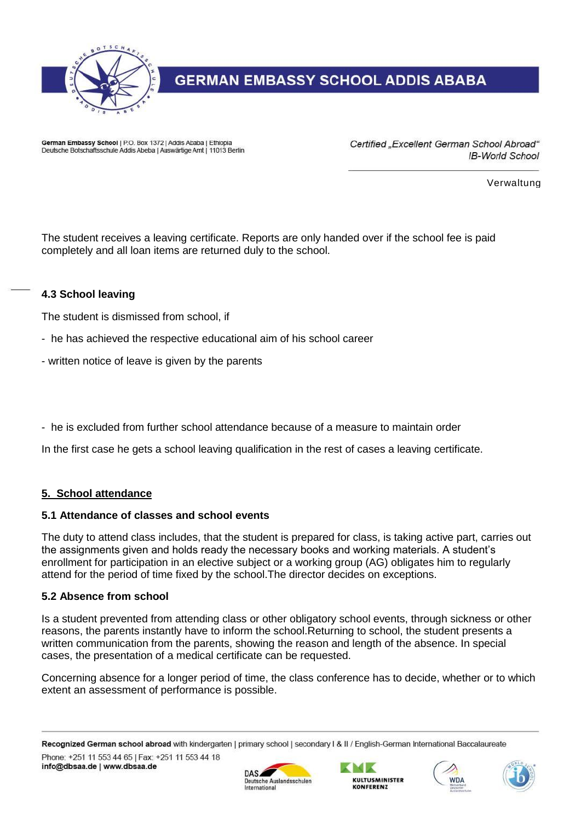

German Embassy School | P.O. Box 1372 | Addis Ababa | Ethiopia Deutsche Botschaftsschule Addis Abeba | Auswärtige Amt | 11013 Berlin Certified "Excellent German School Abroad" **IB-World School** 

Verwaltung

The student receives a leaving certificate. Reports are only handed over if the school fee is paid completely and all loan items are returned duly to the school.

#### **4.3 School leaving**

The student is dismissed from school, if

- he has achieved the respective educational aim of his school career
- written notice of leave is given by the parents

- he is excluded from further school attendance because of a measure to maintain order

In the first case he gets a school leaving qualification in the rest of cases a leaving certificate.

#### **5. School attendance**

#### **5.1 Attendance of classes and school events**

The duty to attend class includes, that the student is prepared for class, is taking active part, carries out the assignments given and holds ready the necessary books and working materials. A student's enrollment for participation in an elective subject or a working group (AG) obligates him to regularly attend for the period of time fixed by the school.The director decides on exceptions.

#### **5.2 Absence from school**

Is a student prevented from attending class or other obligatory school events, through sickness or other reasons, the parents instantly have to inform the school.Returning to school, the student presents a written communication from the parents, showing the reason and length of the absence. In special cases, the presentation of a medical certificate can be requested.

Concerning absence for a longer period of time, the class conference has to decide, whether or to which extent an assessment of performance is possible.







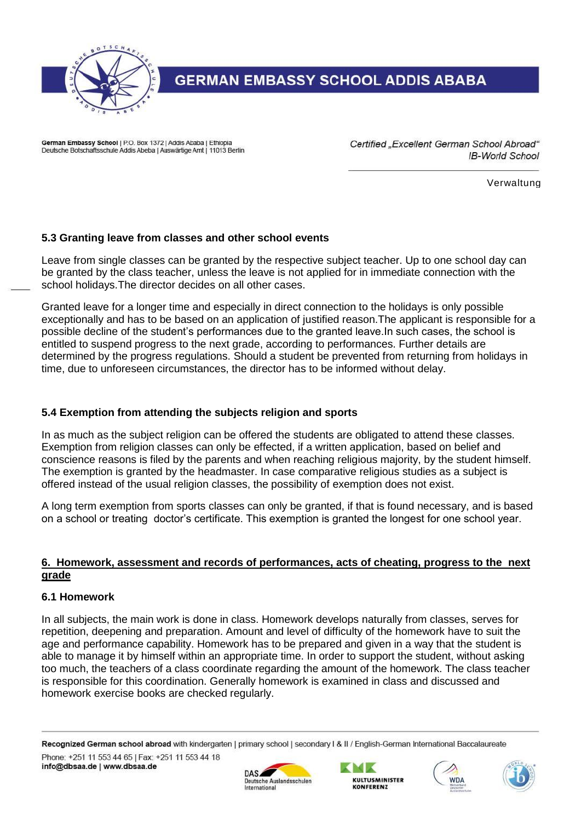

German Embassy School | P.O. Box 1372 | Addis Ababa | Ethiopia Deutsche Botschaftsschule Addis Abeba | Auswärtige Amt | 11013 Berlin Certified "Excellent German School Abroad" **IB-World School** 

Verwaltung

#### **5.3 Granting leave from classes and other school events**

Leave from single classes can be granted by the respective subject teacher. Up to one school day can be granted by the class teacher, unless the leave is not applied for in immediate connection with the school holidays.The director decides on all other cases.

Granted leave for a longer time and especially in direct connection to the holidays is only possible exceptionally and has to be based on an application of justified reason.The applicant is responsible for a possible decline of the student's performances due to the granted leave.In such cases, the school is entitled to suspend progress to the next grade, according to performances. Further details are determined by the progress regulations. Should a student be prevented from returning from holidays in time, due to unforeseen circumstances, the director has to be informed without delay.

#### **5.4 Exemption from attending the subjects religion and sports**

In as much as the subject religion can be offered the students are obligated to attend these classes. Exemption from religion classes can only be effected, if a written application, based on belief and conscience reasons is filed by the parents and when reaching religious majority, by the student himself. The exemption is granted by the headmaster. In case comparative religious studies as a subject is offered instead of the usual religion classes, the possibility of exemption does not exist.

A long term exemption from sports classes can only be granted, if that is found necessary, and is based on a school or treating doctor's certificate. This exemption is granted the longest for one school year.

#### **6. Homework, assessment and records of performances, acts of cheating, progress to the next grade**

#### **6.1 Homework**

In all subjects, the main work is done in class. Homework develops naturally from classes, serves for repetition, deepening and preparation. Amount and level of difficulty of the homework have to suit the age and performance capability. Homework has to be prepared and given in a way that the student is able to manage it by himself within an appropriate time. In order to support the student, without asking too much, the teachers of a class coordinate regarding the amount of the homework. The class teacher is responsible for this coordination. Generally homework is examined in class and discussed and homework exercise books are checked regularly.







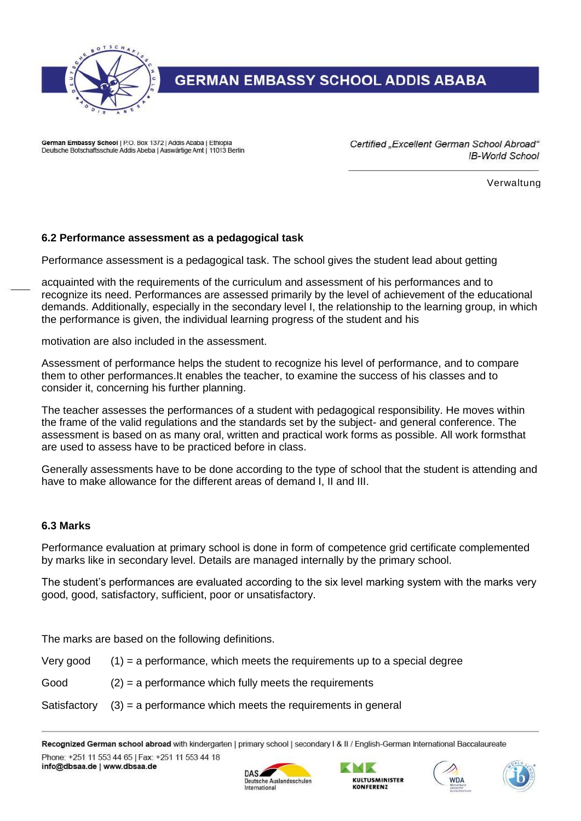

German Embassy School | P.O. Box 1372 | Addis Ababa | Ethiopia Deutsche Botschaftsschule Addis Abeba | Auswärtige Amt | 11013 Berlin Certified "Excellent German School Abroad" **IB-World School** 

Verwaltung

#### **6.2 Performance assessment as a pedagogical task**

Performance assessment is a pedagogical task. The school gives the student lead about getting

acquainted with the requirements of the curriculum and assessment of his performances and to recognize its need. Performances are assessed primarily by the level of achievement of the educational demands. Additionally, especially in the secondary level I, the relationship to the learning group, in which the performance is given, the individual learning progress of the student and his

motivation are also included in the assessment.

Assessment of performance helps the student to recognize his level of performance, and to compare them to other performances.It enables the teacher, to examine the success of his classes and to consider it, concerning his further planning.

The teacher assesses the performances of a student with pedagogical responsibility. He moves within the frame of the valid regulations and the standards set by the subject- and general conference. The assessment is based on as many oral, written and practical work forms as possible. All work formsthat are used to assess have to be practiced before in class.

Generally assessments have to be done according to the type of school that the student is attending and have to make allowance for the different areas of demand I, II and III.

#### **6.3 Marks**

Performance evaluation at primary school is done in form of competence grid certificate complemented by marks like in secondary level. Details are managed internally by the primary school.

The student's performances are evaluated according to the six level marking system with the marks very good, good, satisfactory, sufficient, poor or unsatisfactory.

The marks are based on the following definitions.

Very good  $(1)$  = a performance, which meets the requirements up to a special degree

 $Good$  (2) = a performance which fully meets the requirements

#### Satisfactory  $(3)$  = a performance which meets the requirements in general

Recognized German school abroad with kindergarten | primary school | secondary I & II / English-German International Baccalaureate Phone: +251 11 553 44 65 | Fax: +251 11 553 44 18 info@dbsaa.de | www.dbsaa.de





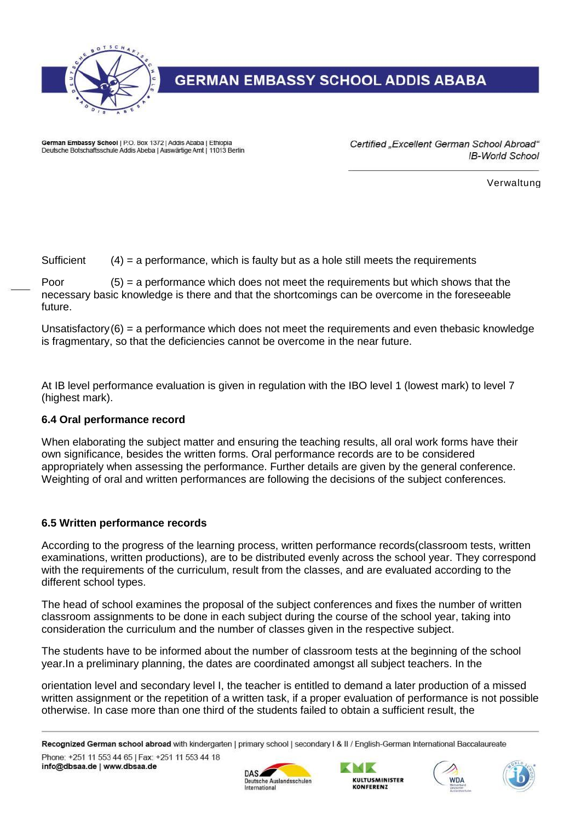

German Embassy School | P.O. Box 1372 | Addis Ababa | Ethiopia Deutsche Botschaftsschule Addis Abeba | Auswärtige Amt | 11013 Berlin Certified "Excellent German School Abroad" **IB-World School** 

Verwaltung

Sufficient  $(4)$  = a performance, which is faulty but as a hole still meets the requirements

Poor  $(5)$  = a performance which does not meet the requirements but which shows that the necessary basic knowledge is there and that the shortcomings can be overcome in the foreseeable future.

Unsatisfactory $(6)$  = a performance which does not meet the requirements and even thebasic knowledge is fragmentary, so that the deficiencies cannot be overcome in the near future.

At IB level performance evaluation is given in regulation with the IBO level 1 (lowest mark) to level 7 (highest mark).

#### **6.4 Oral performance record**

When elaborating the subject matter and ensuring the teaching results, all oral work forms have their own significance, besides the written forms. Oral performance records are to be considered appropriately when assessing the performance. Further details are given by the general conference. Weighting of oral and written performances are following the decisions of the subject conferences.

#### **6.5 Written performance records**

According to the progress of the learning process, written performance records(classroom tests, written examinations, written productions), are to be distributed evenly across the school year. They correspond with the requirements of the curriculum, result from the classes, and are evaluated according to the different school types.

The head of school examines the proposal of the subject conferences and fixes the number of written classroom assignments to be done in each subject during the course of the school year, taking into consideration the curriculum and the number of classes given in the respective subject.

The students have to be informed about the number of classroom tests at the beginning of the school year.In a preliminary planning, the dates are coordinated amongst all subject teachers. In the

orientation level and secondary level I, the teacher is entitled to demand a later production of a missed written assignment or the repetition of a written task, if a proper evaluation of performance is not possible otherwise. In case more than one third of the students failed to obtain a sufficient result, the









Recognized German school abroad with kindergarten | primary school | secondary I & II / English-German International Baccalaureate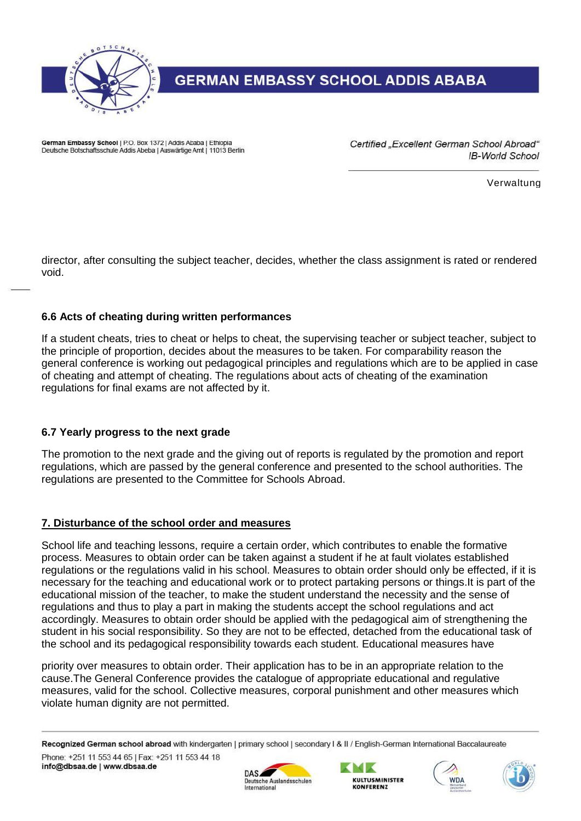

German Embassy School | P.O. Box 1372 | Addis Ababa | Ethiopia Deutsche Botschaftsschule Addis Abeba | Auswärtige Amt | 11013 Berlin Certified "Excellent German School Abroad" **IB-World School** 

Verwaltung

director, after consulting the subject teacher, decides, whether the class assignment is rated or rendered void.

#### **6.6 Acts of cheating during written performances**

If a student cheats, tries to cheat or helps to cheat, the supervising teacher or subject teacher, subject to the principle of proportion, decides about the measures to be taken. For comparability reason the general conference is working out pedagogical principles and regulations which are to be applied in case of cheating and attempt of cheating. The regulations about acts of cheating of the examination regulations for final exams are not affected by it.

#### **6.7 Yearly progress to the next grade**

The promotion to the next grade and the giving out of reports is regulated by the promotion and report regulations, which are passed by the general conference and presented to the school authorities. The regulations are presented to the Committee for Schools Abroad.

#### **7. Disturbance of the school order and measures**

School life and teaching lessons, require a certain order, which contributes to enable the formative process. Measures to obtain order can be taken against a student if he at fault violates established regulations or the regulations valid in his school. Measures to obtain order should only be effected, if it is necessary for the teaching and educational work or to protect partaking persons or things.It is part of the educational mission of the teacher, to make the student understand the necessity and the sense of regulations and thus to play a part in making the students accept the school regulations and act accordingly. Measures to obtain order should be applied with the pedagogical aim of strengthening the student in his social responsibility. So they are not to be effected, detached from the educational task of the school and its pedagogical responsibility towards each student. Educational measures have

priority over measures to obtain order. Their application has to be in an appropriate relation to the cause.The General Conference provides the catalogue of appropriate educational and regulative measures, valid for the school. Collective measures, corporal punishment and other measures which violate human dignity are not permitted.

Recognized German school abroad with kindergarten | primary school | secondary I & II / English-German International Baccalaureate Phone: +251 11 553 44 65 | Fax: +251 11 553 44 18







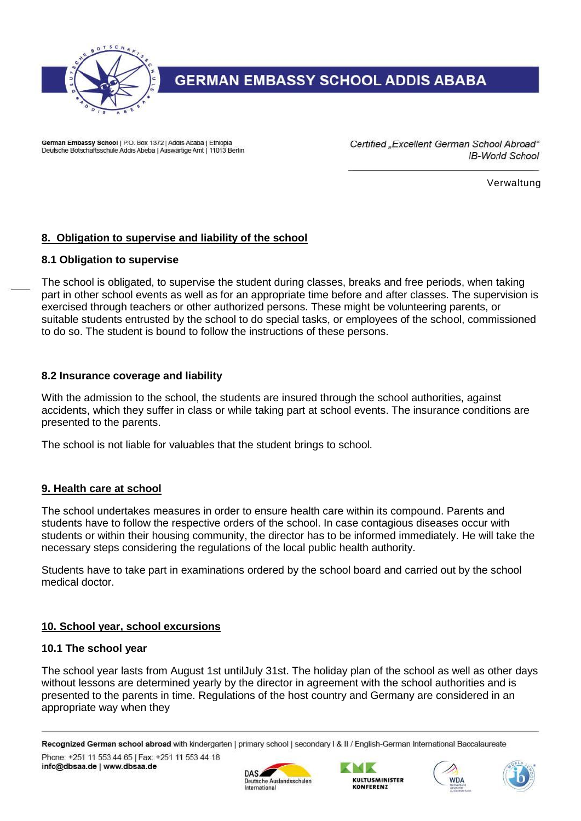

German Embassy School | P.O. Box 1372 | Addis Ababa | Ethiopia Deutsche Botschaftsschule Addis Abeba | Auswärtige Amt | 11013 Berlin Certified "Excellent German School Abroad" **IB-World School** 

Verwaltung

#### **8. Obligation to supervise and liability of the school**

#### **8.1 Obligation to supervise**

The school is obligated, to supervise the student during classes, breaks and free periods, when taking part in other school events as well as for an appropriate time before and after classes. The supervision is exercised through teachers or other authorized persons. These might be volunteering parents, or suitable students entrusted by the school to do special tasks, or employees of the school, commissioned to do so. The student is bound to follow the instructions of these persons.

#### **8.2 Insurance coverage and liability**

With the admission to the school, the students are insured through the school authorities, against accidents, which they suffer in class or while taking part at school events. The insurance conditions are presented to the parents.

The school is not liable for valuables that the student brings to school.

#### **9. Health care at school**

The school undertakes measures in order to ensure health care within its compound. Parents and students have to follow the respective orders of the school. In case contagious diseases occur with students or within their housing community, the director has to be informed immediately. He will take the necessary steps considering the regulations of the local public health authority.

Students have to take part in examinations ordered by the school board and carried out by the school medical doctor.

#### **10. School year, school excursions**

#### **10.1 The school year**

The school year lasts from August 1st untilJuly 31st. The holiday plan of the school as well as other days without lessons are determined yearly by the director in agreement with the school authorities and is presented to the parents in time. Regulations of the host country and Germany are considered in an appropriate way when they

Recognized German school abroad with kindergarten | primary school | secondary I & II / English-German International Baccalaureate Phone: +251 11 553 44 65 | Fax: +251 11 553 44 18